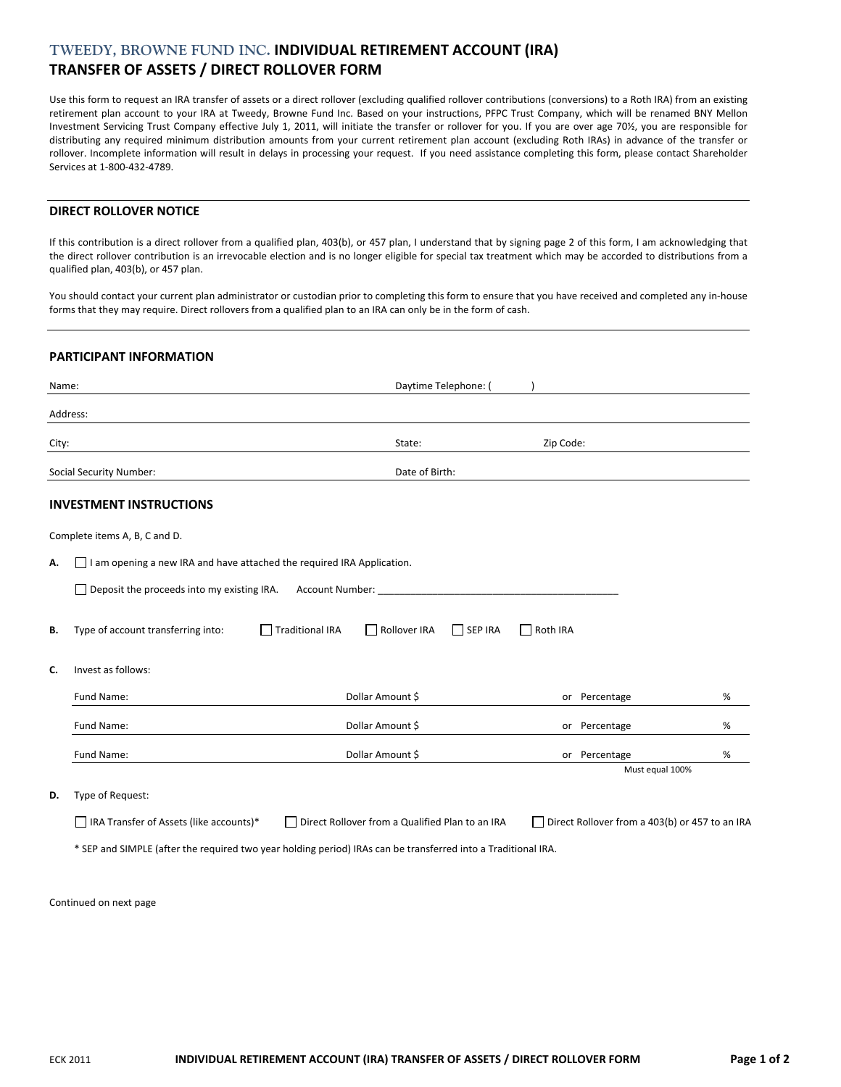# **TWEEDY, BROWNE FUND INC. INDIVIDUAL RETIREMENT ACCOUNT (IRA) TRANSFER OF ASSETS / DIRECT ROLLOVER FORM**

Use this form to request an IRA transfer of assets or a direct rollover (excluding qualified rollover contributions (conversions) to a Roth IRA) from an existing retirement plan account to your IRA at Tweedy, Browne Fund Inc. Based on your instructions, PFPC Trust Company, which will be renamed BNY Mellon Investment Servicing Trust Company effective July 1, 2011, will initiate the transfer or rollover for you. If you are over age 70½, you are responsible for distributing any required minimum distribution amounts from your current retirement plan account (excluding Roth IRAs) in advance of the transfer or rollover. Incomplete information will result in delays in processing your request. If you need assistance completing this form, please contact Shareholder Services at 1‐800‐432‐4789.

## **DIRECT ROLLOVER NOTICE**

If this contribution is a direct rollover from a qualified plan, 403(b), or 457 plan, I understand that by signing page 2 of this form, I am acknowledging that the direct rollover contribution is an irrevocable election and is no longer eligible for special tax treatment which may be accorded to distributions from a qualified plan, 403(b), or 457 plan.

You should contact your current plan administrator or custodian prior to completing this form to ensure that you have received and completed any in-house forms that they may require. Direct rollovers from a qualified plan to an IRA can only be in the form of cash.

### **PARTICIPANT INFORMATION**

| Name: |                                                                               | Daytime Telephone: (                                                                                          |                 |                                                |      |  |  |  |
|-------|-------------------------------------------------------------------------------|---------------------------------------------------------------------------------------------------------------|-----------------|------------------------------------------------|------|--|--|--|
|       | Address:                                                                      |                                                                                                               |                 |                                                |      |  |  |  |
| City: |                                                                               | State:                                                                                                        | Zip Code:       |                                                |      |  |  |  |
|       | <b>Social Security Number:</b>                                                | Date of Birth:                                                                                                |                 |                                                |      |  |  |  |
|       | <b>INVESTMENT INSTRUCTIONS</b>                                                |                                                                                                               |                 |                                                |      |  |  |  |
|       | Complete items A, B, C and D.                                                 |                                                                                                               |                 |                                                |      |  |  |  |
| Α.    | $\Box$ I am opening a new IRA and have attached the required IRA Application. |                                                                                                               |                 |                                                |      |  |  |  |
|       | $\Box$ Deposit the proceeds into my existing IRA.                             | <b>Account Number:</b>                                                                                        |                 |                                                |      |  |  |  |
| В.    | Type of account transferring into:                                            | Traditional IRA<br>Rollover IRA<br>$\Box$ SEP IRA                                                             | $\Box$ Roth IRA |                                                |      |  |  |  |
| C.    | Invest as follows:                                                            |                                                                                                               |                 |                                                |      |  |  |  |
|       | Fund Name:                                                                    | Dollar Amount \$                                                                                              |                 | or Percentage                                  | %    |  |  |  |
|       | Fund Name:                                                                    | Dollar Amount \$                                                                                              |                 | or Percentage                                  | %    |  |  |  |
|       | Fund Name:                                                                    | Dollar Amount \$                                                                                              |                 | or Percentage                                  | $\%$ |  |  |  |
|       |                                                                               |                                                                                                               |                 | Must equal 100%                                |      |  |  |  |
| D.    | Type of Request:                                                              |                                                                                                               |                 |                                                |      |  |  |  |
|       | □ IRA Transfer of Assets (like accounts)*                                     | Direct Rollover from a Qualified Plan to an IRA                                                               |                 | Direct Rollover from a 403(b) or 457 to an IRA |      |  |  |  |
|       |                                                                               | * SEP and SIMPLE (after the required two year holding period) IRAs can be transferred into a Traditional IRA. |                 |                                                |      |  |  |  |

Continued on next page